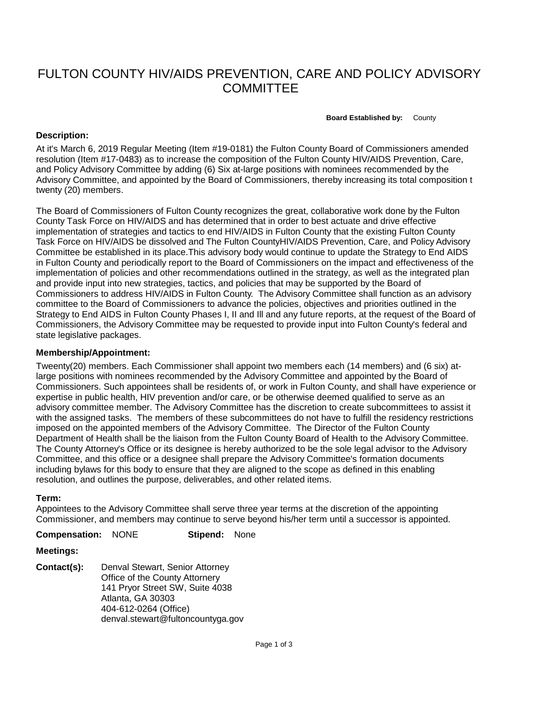# FULTON COUNTY HIV/AIDS PREVENTION, CARE AND POLICY ADVISORY **COMMITTEE**

**Board Established by:** County

### **Description:**

At it's March 6, 2019 Regular Meeting (Item #19-0181) the Fulton County Board of Commissioners amended resolution (Item #17-0483) as to increase the composition of the Fulton County HIV/AIDS Prevention, Care, and Policy Advisory Committee by adding (6) Six at-large positions with nominees recommended by the Advisory Committee, and appointed by the Board of Commissioners, thereby increasing its total composition t twenty (20) members.

The Board of Commissioners of Fulton County recognizes the great, collaborative work done by the Fulton County Task Force on HIV/AIDS and has determined that in order to best actuate and drive effective implementation of strategies and tactics to end HIV/AIDS in Fulton County that the existing Fulton County Task Force on HIV/AIDS be dissolved and The Fulton CountyHIV/AIDS Prevention, Care, and Policy Advisory Committee be established in its place.This advisory body would continue to update the Strategy to End AIDS in Fulton County and periodically report to the Board of Commissioners on the impact and effectiveness of the implementation of policies and other recommendations outlined in the strategy, as well as the integrated plan and provide input into new strategies, tactics, and policies that may be supported by the Board of Commissioners to address HIV/AIDS in Fulton County. The Advisory Committee shall function as an advisory committee to the Board of Commissioners to advance the policies, objectives and priorities outlined in the Strategy to End AIDS in Fulton County Phases I, II and Ill and any future reports, at the request of the Board of Commissioners, the Advisory Committee may be requested to provide input into Fulton County's federal and state legislative packages.

#### **Membership/Appointment:**

Tweenty(20) members. Each Commissioner shall appoint two members each (14 members) and (6 six) atlarge positions with nominees recommended by the Advisory Committee and appointed by the Board of Commissioners. Such appointees shall be residents of, or work in Fulton County, and shall have experience or expertise in public health, HIV prevention and/or care, or be otherwise deemed qualified to serve as an advisory committee member. The Advisory Committee has the discretion to create subcommittees to assist it with the assigned tasks. The members of these subcommittees do not have to fulfill the residency restrictions imposed on the appointed members of the Advisory Committee. The Director of the Fulton County Department of Health shall be the liaison from the Fulton County Board of Health to the Advisory Committee. The County Attorney's Office or its designee is hereby authorized to be the sole legal advisor to the Advisory Committee, and this office or a designee shall prepare the Advisory Committee's formation documents including bylaws for this body to ensure that they are aligned to the scope as defined in this enabling resolution, and outlines the purpose, deliverables, and other related items.

#### **Term:**

Appointees to the Advisory Committee shall serve three year terms at the discretion of the appointing Commissioner, and members may continue to serve beyond his/her term until a successor is appointed.

**Compensation:** NONE **Stipend:** None

## **Meetings:**

**Contact(s):** Denval Stewart, Senior Attorney Office of the County Attornery 141 Pryor Street SW, Suite 4038 Atlanta, GA 30303 404-612-0264 (Office) denval.stewart@fultoncountyga.gov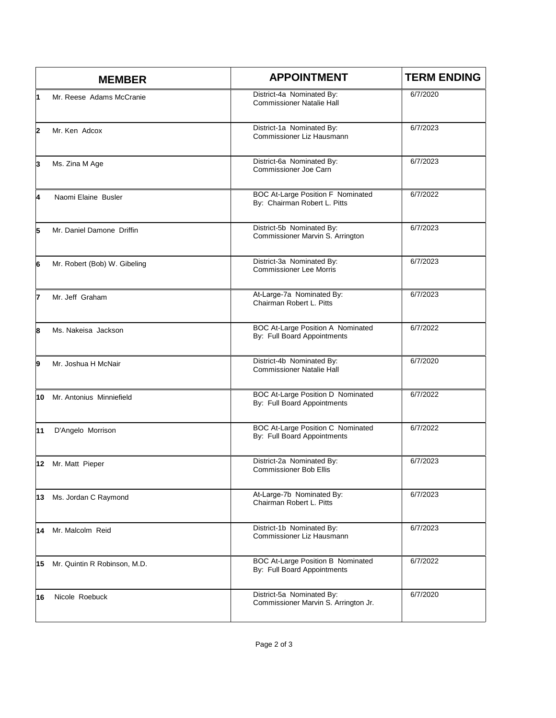|                | <b>MEMBER</b>                | <b>APPOINTMENT</b>                                                       | <b>TERM ENDING</b> |
|----------------|------------------------------|--------------------------------------------------------------------------|--------------------|
| $\overline{1}$ | Mr. Reese Adams McCranie     | District-4a Nominated By:<br><b>Commissioner Natalie Hall</b>            | 6/7/2020           |
| $\mathbf{2}$   | Mr. Ken Adcox                | District-1a Nominated By:<br>Commissioner Liz Hausmann                   | 6/7/2023           |
| 3              | Ms. Zina M Age               | District-6a Nominated By:<br>Commissioner Joe Carn                       | 6/7/2023           |
| 4              | Naomi Elaine Busler          | <b>BOC At-Large Position F Nominated</b><br>By: Chairman Robert L. Pitts | 6/7/2022           |
| 5              | Mr. Daniel Damone Driffin    | District-5b Nominated By:<br>Commissioner Marvin S. Arrington            | 6/7/2023           |
| 6              | Mr. Robert (Bob) W. Gibeling | District-3a Nominated By:<br><b>Commissioner Lee Morris</b>              | 6/7/2023           |
| 7              | Mr. Jeff Graham              | At-Large-7a Nominated By:<br>Chairman Robert L. Pitts                    | 6/7/2023           |
| 8              | Ms. Nakeisa Jackson          | <b>BOC At-Large Position A Nominated</b><br>By: Full Board Appointments  | 6/7/2022           |
| 9              | Mr. Joshua H McNair          | District-4b Nominated By:<br><b>Commissioner Natalie Hall</b>            | 6/7/2020           |
| 10             | Mr. Antonius Minniefield     | <b>BOC At-Large Position D Nominated</b><br>By: Full Board Appointments  | 6/7/2022           |
| 11             | D'Angelo Morrison            | <b>BOC At-Large Position C Nominated</b><br>By: Full Board Appointments  | 6/7/2022           |
|                | 12 Mr. Matt Pieper           | District-2a Nominated By:<br><b>Commissioner Bob Ellis</b>               | 6/7/2023           |
| 13             | Ms. Jordan C Raymond         | At-Large-7b Nominated By:<br>Chairman Robert L. Pitts                    | 6/7/2023           |
| 14             | Mr. Malcolm Reid             | District-1b Nominated By:<br>Commissioner Liz Hausmann                   | 6/7/2023           |
| 15             | Mr. Quintin R Robinson, M.D. | <b>BOC At-Large Position B Nominated</b><br>By: Full Board Appointments  | 6/7/2022           |
| 16             | Nicole Roebuck               | District-5a Nominated By:<br>Commissioner Marvin S. Arrington Jr.        | 6/7/2020           |